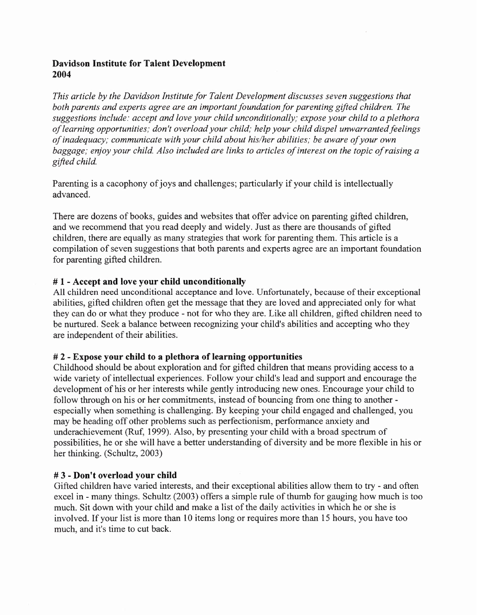## Davidson Institute for Talent Development 2004

*This article by the Davidson Institute for Talent Development discusses seven suggestions that both parents and experts agree are an important foundation for parenting gifted children. The suggestions include: accept and love your child unconditionally; expose your child to a plethora of learning opportunities; don't overload your child; help your child dispel unwarranted feelings of inadequacy; communicate with your child about his/her abilities; be aware of your own* baggage; enjoy your child. Also included are links to articles of interest on the topic of raising a *gifted child*

Parenting is a cacophony of joys and challenges; particularly if your child is intellectually advanced.

There are dozens of books, guides and websites that offer advice on parenting gifted children, and we recommend that you read deeply and widely. Just as there are thousands of gifted children, there are equally as many strategies that work for parenting them. This article is a compilation of seven suggestions that both parents and experts agree are an important foundation for parenting gifted children.

### # 1 - Accept and love your child unconditionally

All children need unconditional acceptance and love. Unfortunately, because of their exceptional abilities, gifted children often get the message that they are loved and appreciated only for what they can do or what they produce - not for who they are. Like all children, gifted children need to be nurtured. Seek a balance between recognizing your child's abilities and accepting who they are independent of their abilities.

### # 2 - Expose your child to a plethora of learning opportunities

Childhood should be about exploration and for gifted children that means providing access to a wide variety of intellectual experiences. Follow your child's lead and support and encourage the development of his or her interests while gently introducing new ones. Encourage your child to follow through on his or her commitments, instead of bouncing from one thing to another especially when something is challenging. By keeping your child engaged and challenged, you may be heading off other problems such as perfectionism, performance anxiety and underachievement (Ruf, 1999). Also, by presenting your child with a broad spectrum of possibilities, he or she will have a better understanding of diversity and be more flexible in his or her thinking. (Schultz, 2003)

### # 3 - Don't overload your child

Gifted children have varied interests, and their exceptional abilities allow them to try - and often excel in - many things. Schultz (2003) offers a simple rule of thumb for gauging how much is too much. Sit down with your child and make a list of the daily activities in which he or she is involved. If your list is more than 10 items long or requires more than 15 hours, you have too much, and it's time to cut back.